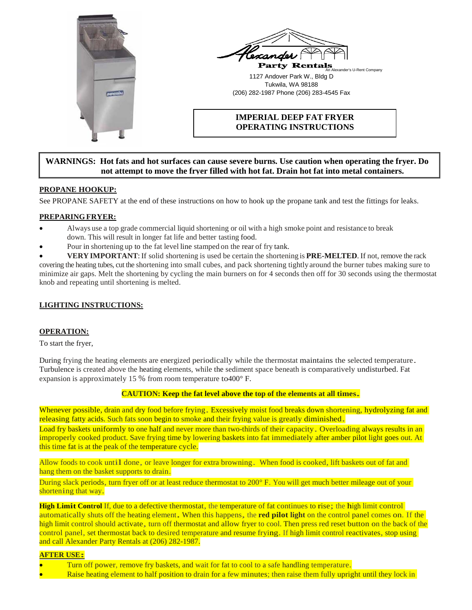



# **IMPERIAL DEEP FAT FRYER OPERATING INSTRUCTIONS**

# **WARNINGS: Hot fats and hot surfaces can cause severe burns. Use caution when operating the fryer. Do not attempt to move the fryer filled with hot fat. Drain hot fat into metal containers.**

## **PROPANE HOOKUP:**

See PROPANE SAFETY at the end of these instructions on how to hook up the propane tank and test the fittings for leaks.

### **PREPARINGFRYER:**

- Always use a top grade commercial liquid shortening or oil with a high smoke point and resistance to break down. This will result in longer fat life and better tasting food.
- Pour in shortening up to the fat level line stamped on the rear of fry tank.

• **VERY IMPORTANT**:If solid shortening is used be certain the shortening is **PRE-MELTED**. If not, remove the rack covering the heating tubes, cut the shortening into small cubes, and pack shortening tightly around the burner tubes making sure to minimize air gaps. Melt the shortening by cycling the main burners on for 4 seconds then off for 30 seconds using the thermostat knob and repeating until shortening is melted.

## **LIGHTING INSTRUCTIONS:**

### **OPERATION:**

To start the fryer,

During frying the heating elements are energized periodically while the thermostat maintains the selected temperature. Turbulence is created above the heating elements, while the sediment space beneath is comparatively undisturbed. Fat expansion is approximately 15 % from room temperature to400° F.

# **CAUTION: Keep the fat level above the top of the elements at all times.**

Whenever possible, drain and dry food before frying. Excessively moist food breaks down shortening, hydrolyzing fat and releasing fatty acids. Such fats soon begin to smoke and their frying value is greatly diminished.

Load fry baskets uniformly to one half and never more than two-thirds of their capacity. Overloading always results in an improperly cooked product. Save frying time by lowering baskets into fat immediately after amber pilot light goes out. At this time fat is at the peak of the temperature cycle.

Allow foods to cook until done, or leave longer for extra browning. When food is cooked, lift baskets out of fat and hang them on the basket supports to drain.

During slack periods, turn fryer off or at least reduce thermostat to 200° F. You will get much better mileage out of your shortening that way.

**High Limit Control** If, due to a defective thermostat, the temperature of fat continues to rise; the high limit control automatically shuts off the heating element. When this happens, the **red pilot light** on the control panel comes on. If the high limit control should activate, turn off thermostat and allow fryer to cool. Then press red reset button on the back of the control panel, set thermostat back to desired temperature and resume frying. If high limit control reactivates, stop using and call Alexander Party Rentals at (206) 282-1987.

#### **AFTER USE:**

- Turn off power, remove fry baskets, and wait for fat to cool to a safe handling temperature.
- Raise heating element to half position to drain for a few minutes; then raise them fully upright until they lock in